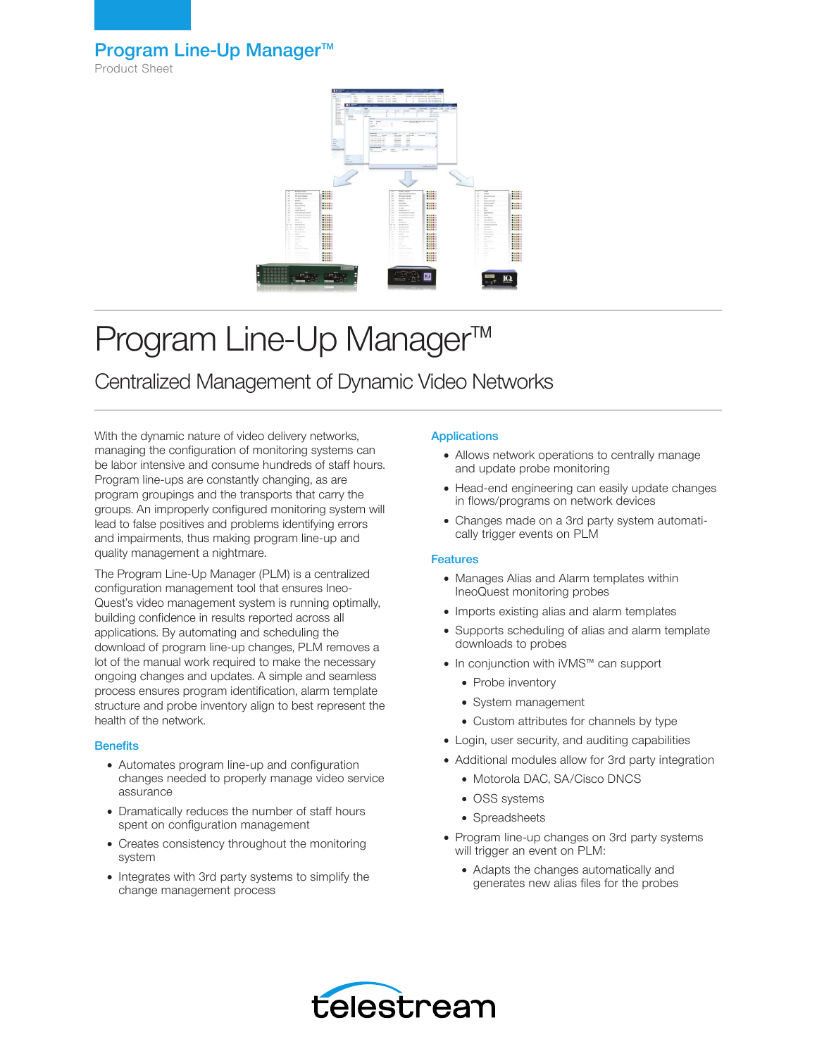### Program Line-Up Manager<sup>™</sup>

Product Sheet



# Program Line-Up Manager<sup>™</sup>

## Centralized Management of Dynamic Video Networks

With the dynamic nature of video delivery networks, managing the configuration of monitoring systems can be labor intensive and consume hundreds of staff hours. Program line-ups are constantly changing, as are program groupings and the transports that carry the groups. An improperly configured monitoring system will lead to false positives and problems identifying errors and impairments, thus making program line-up and quality management a nightmare.

The Program Line-Up Manager (PLM) is a centralized configuration management tool that ensures Ineo-Quest's video management system is running optimally, building confidence in results reported across all applications. By automating and scheduling the download of program line-up changes, PLM removes a lot of the manual work required to make the necessary ongoing changes and updates. A simple and seamless process ensures program identification, alarm template structure and probe inventory align to best represent the health of the network.

#### **Benefits**

- Automates program line-up and configuration changes needed to properly manage video service assurance
- Dramatically reduces the number of staff hours spent on configuration management
- Creates consistency throughout the monitoring system
- Integrates with 3rd party systems to simplify the change management process

#### **Applications**

- Allows network operations to centrally manage and update probe monitoring
- Head-end engineering can easily update changes in flows/programs on network devices
- Changes made on a 3rd party system automatically trigger events on PLM

#### **Features**

- Manages Alias and Alarm templates within IneoQuest monitoring probes
- Imports existing alias and alarm templates
- Supports scheduling of alias and alarm template downloads to probes
- In conjunction with iVMS™ can support
	- Probe inventory
	- System management
	- Custom attributes for channels by type
- Login, user security, and auditing capabilities
- Additional modules allow for 3rd party integration
	- Motorola DAC, SA/Cisco DNCS
	- OSS systems
	- Spreadsheets
- Program line-up changes on 3rd party systems will trigger an event on PLM:
	- Adapts the changes automatically and generates new alias files for the probes